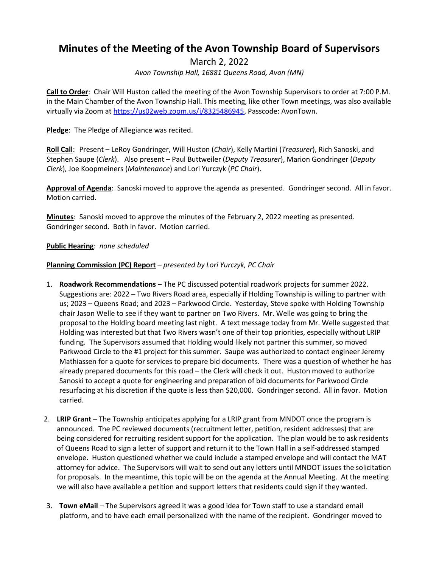# **Minutes of the Meeting of the Avon Township Board of Supervisors**

March 2, 2022

*Avon Township Hall, 16881 Queens Road, Avon (MN)*

**Call to Order**: Chair Will Huston called the meeting of the Avon Township Supervisors to order at 7:00 P.M. in the Main Chamber of the Avon Township Hall. This meeting, like other Town meetings, was also available virtually via Zoom at [https://us02web.zoom.us/j/8325486945,](https://us02web.zoom.us/j/8325486945) Passcode: AvonTown.

**Pledge**: The Pledge of Allegiance was recited.

**Roll Call**: Present – LeRoy Gondringer, Will Huston (*Chair*), Kelly Martini (*Treasurer*), Rich Sanoski, and Stephen Saupe (*Clerk*). Also present – Paul Buttweiler (*Deputy Treasurer*), Marion Gondringer (*Deputy Clerk*), Joe Koopmeiners (*Maintenance*) and Lori Yurczyk (*PC Chair*).

**Approval of Agenda**: Sanoski moved to approve the agenda as presented. Gondringer second. All in favor. Motion carried.

**Minutes**: Sanoski moved to approve the minutes of the February 2, 2022 meeting as presented. Gondringer second. Both in favor. Motion carried.

**Public Hearing**: *none scheduled*

### **Planning Commission (PC) Report** *– presented by Lori Yurczyk, PC Chair*

- 1. **Roadwork Recommendations** The PC discussed potential roadwork projects for summer 2022. Suggestions are: 2022 – Two Rivers Road area, especially if Holding Township is willing to partner with us; 2023 – Queens Road; and 2023 – Parkwood Circle. Yesterday, Steve spoke with Holding Township chair Jason Welle to see if they want to partner on Two Rivers. Mr. Welle was going to bring the proposal to the Holding board meeting last night. A text message today from Mr. Welle suggested that Holding was interested but that Two Rivers wasn't one of their top priorities, especially without LRIP funding. The Supervisors assumed that Holding would likely not partner this summer, so moved Parkwood Circle to the #1 project for this summer. Saupe was authorized to contact engineer Jeremy Mathiassen for a quote for services to prepare bid documents. There was a question of whether he has already prepared documents for this road – the Clerk will check it out. Huston moved to authorize Sanoski to accept a quote for engineering and preparation of bid documents for Parkwood Circle resurfacing at his discretion if the quote is less than \$20,000. Gondringer second. All in favor. Motion carried.
- 2. **LRIP Grant**  The Township anticipates applying for a LRIP grant from MNDOT once the program is announced. The PC reviewed documents (recruitment letter, petition, resident addresses) that are being considered for recruiting resident support for the application. The plan would be to ask residents of Queens Road to sign a letter of support and return it to the Town Hall in a self-addressed stamped envelope. Huston questioned whether we could include a stamped envelope and will contact the MAT attorney for advice. The Supervisors will wait to send out any letters until MNDOT issues the solicitation for proposals. In the meantime, this topic will be on the agenda at the Annual Meeting. At the meeting we will also have available a petition and support letters that residents could sign if they wanted.
- 3. **Town eMail** The Supervisors agreed it was a good idea for Town staff to use a standard email platform, and to have each email personalized with the name of the recipient. Gondringer moved to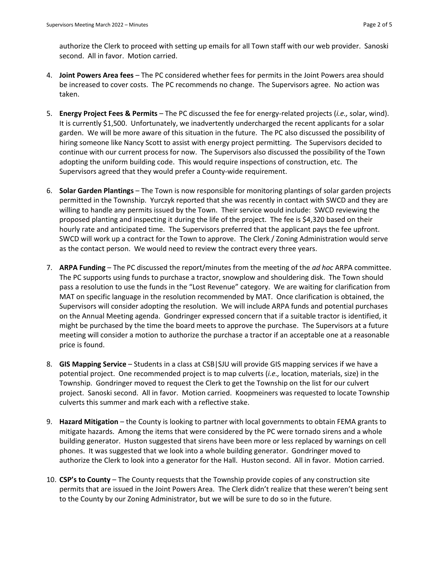authorize the Clerk to proceed with setting up emails for all Town staff with our web provider. Sanoski second. All in favor. Motion carried.

- 4. **Joint Powers Area fees** The PC considered whether fees for permits in the Joint Powers area should be increased to cover costs. The PC recommends no change. The Supervisors agree. No action was taken.
- 5. **Energy Project Fees & Permits** The PC discussed the fee for energy-related projects (*i.e.,* solar, wind). It is currently \$1,500. Unfortunately, we inadvertently undercharged the recent applicants for a solar garden. We will be more aware of this situation in the future. The PC also discussed the possibility of hiring someone like Nancy Scott to assist with energy project permitting. The Supervisors decided to continue with our current process for now. The Supervisors also discussed the possibility of the Town adopting the uniform building code. This would require inspections of construction, etc. The Supervisors agreed that they would prefer a County-wide requirement.
- 6. **Solar Garden Plantings**  The Town is now responsible for monitoring plantings of solar garden projects permitted in the Township. Yurczyk reported that she was recently in contact with SWCD and they are willing to handle any permits issued by the Town. Their service would include: SWCD reviewing the proposed planting and inspecting it during the life of the project. The fee is \$4,320 based on their hourly rate and anticipated time. The Supervisors preferred that the applicant pays the fee upfront. SWCD will work up a contract for the Town to approve. The Clerk / Zoning Administration would serve as the contact person. We would need to review the contract every three years.
- 7. **ARPA Funding** The PC discussed the report/minutes from the meeting of the *ad hoc* ARPA committee. The PC supports using funds to purchase a tractor, snowplow and shouldering disk. The Town should pass a resolution to use the funds in the "Lost Revenue" category. We are waiting for clarification from MAT on specific language in the resolution recommended by MAT. Once clarification is obtained, the Supervisors will consider adopting the resolution. We will include ARPA funds and potential purchases on the Annual Meeting agenda. Gondringer expressed concern that if a suitable tractor is identified, it might be purchased by the time the board meets to approve the purchase. The Supervisors at a future meeting will consider a motion to authorize the purchase a tractor if an acceptable one at a reasonable price is found.
- 8. **GIS Mapping Service** Students in a class at CSB|SJU will provide GIS mapping services if we have a potential project. One recommended project is to map culverts (*i.e.,* location, materials, size) in the Township. Gondringer moved to request the Clerk to get the Township on the list for our culvert project. Sanoski second. All in favor. Motion carried. Koopmeiners was requested to locate Township culverts this summer and mark each with a reflective stake.
- 9. **Hazard Mitigation** the County is looking to partner with local governments to obtain FEMA grants to mitigate hazards. Among the items that were considered by the PC were tornado sirens and a whole building generator. Huston suggested that sirens have been more or less replaced by warnings on cell phones. It was suggested that we look into a whole building generator. Gondringer moved to authorize the Clerk to look into a generator for the Hall. Huston second. All in favor. Motion carried.
- 10. **CSP's to County** The County requests that the Township provide copies of any construction site permits that are issued in the Joint Powers Area. The Clerk didn't realize that these weren't being sent to the County by our Zoning Administrator, but we will be sure to do so in the future.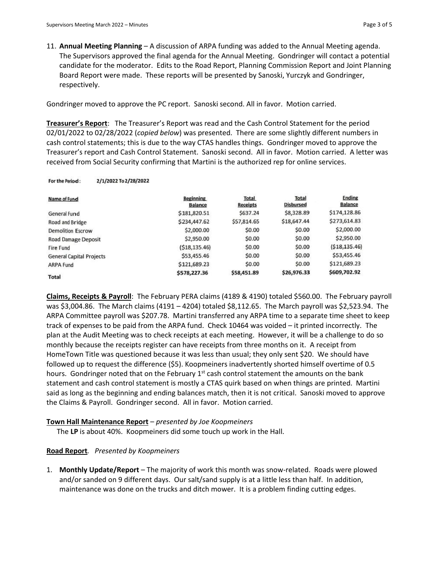11. **Annual Meeting Planning** – A discussion of ARPA funding was added to the Annual Meeting agenda. The Supervisors approved the final agenda for the Annual Meeting. Gondringer will contact a potential candidate for the moderator. Edits to the Road Report, Planning Commission Report and Joint Planning Board Report were made. These reports will be presented by Sanoski, Yurczyk and Gondringer, respectively.

Gondringer moved to approve the PC report. Sanoski second. All in favor. Motion carried.

**Treasurer's Report**: The Treasurer's Report was read and the Cash Control Statement for the period 02/01/2022 to 02/28/2022 (*copied below*) was presented. There are some slightly different numbers in cash control statements; this is due to the way CTAS handles things. Gondringer moved to approve the Treasurer's report and Cash Control Statement. Sanoski second. All in favor. Motion carried. A letter was received from Social Security confirming that Martini is the authorized rep for online services.

#### 2/1/2022 To 2/28/2022 For the Period:

| Name of Fund                    | <b>Beginning</b><br><b>Balance</b> | Total<br><b>Receipts</b> | <b>Total</b><br><b>Disbursed</b> | <b>Ending</b><br><b>Balance</b> |
|---------------------------------|------------------------------------|--------------------------|----------------------------------|---------------------------------|
| General Fund                    | \$181,820.51                       | \$637.24                 | \$8,328.89                       | \$174,128.86                    |
| Road and Bridge                 | \$234,447.62                       | \$57,814.65              | \$18,647.44                      | \$273,614.83                    |
| <b>Demolition Escrow</b>        | \$2,000.00                         | \$0.00                   | \$0.00                           | \$2,000.00                      |
| Road Damage Deposit             | \$2,950.00                         | \$0.00                   | \$0.00                           | \$2,950.00                      |
| <b>Fire Fund</b>                | (518, 135.46)                      | \$0.00                   | \$0.00                           | ( \$18, 135.46)                 |
| <b>General Capital Projects</b> | \$53,455.46                        | \$0.00                   | \$0.00                           | \$53,455.46                     |
| <b>ARPA Fund</b>                | \$121,689.23                       | \$0.00                   | \$0.00                           | \$121,689.23                    |
| <b>Total</b>                    | \$578,227.36                       | \$58,451.89              | \$26,976.33                      | \$609,702.92                    |

**Claims, Receipts & Payroll**: The February PERA claims (4189 & 4190) totaled \$560.00. The February payroll was \$3,004.86. The March claims (4191 – 4204) totaled \$8,112.65. The March payroll was \$2,523.94. The ARPA Committee payroll was \$207.78. Martini transferred any ARPA time to a separate time sheet to keep track of expenses to be paid from the ARPA fund. Check 10464 was voided – it printed incorrectly. The plan at the Audit Meeting was to check receipts at each meeting. However, it will be a challenge to do so monthly because the receipts register can have receipts from three months on it. A receipt from HomeTown Title was questioned because it was less than usual; they only sent \$20. We should have followed up to request the difference (\$5). Koopmeiners inadvertently shorted himself overtime of 0.5 hours. Gondringer noted that on the February  $1<sup>st</sup>$  cash control statement the amounts on the bank statement and cash control statement is mostly a CTAS quirk based on when things are printed. Martini said as long as the beginning and ending balances match, then it is not critical. Sanoski moved to approve the Claims & Payroll. Gondringer second. All in favor. Motion carried.

#### **Town Hall Maintenance Report** – *presented by Joe Koopmeiners*

The **LP** is about 40%. Koopmeiners did some touch up work in the Hall.

### **Road Report***. Presented by Koopmeiners*

1. **Monthly Update/Report** – The majority of work this month was snow-related. Roads were plowed and/or sanded on 9 different days. Our salt/sand supply is at a little less than half. In addition, maintenance was done on the trucks and ditch mower. It is a problem finding cutting edges.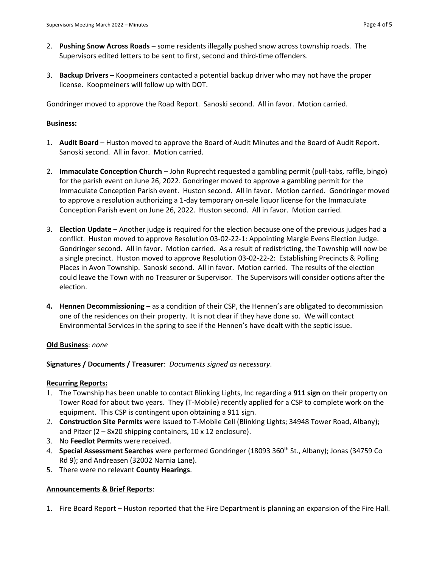- 2. **Pushing Snow Across Roads**  some residents illegally pushed snow across township roads. The Supervisors edited letters to be sent to first, second and third-time offenders.
- 3. **Backup Drivers** Koopmeiners contacted a potential backup driver who may not have the proper license. Koopmeiners will follow up with DOT.

Gondringer moved to approve the Road Report. Sanoski second. All in favor. Motion carried.

## **Business:**

- 1. **Audit Board** Huston moved to approve the Board of Audit Minutes and the Board of Audit Report. Sanoski second. All in favor. Motion carried.
- 2. **Immaculate Conception Church** John Ruprecht requested a gambling permit (pull-tabs, raffle, bingo) for the parish event on June 26, 2022. Gondringer moved to approve a gambling permit for the Immaculate Conception Parish event. Huston second. All in favor. Motion carried. Gondringer moved to approve a resolution authorizing a 1-day temporary on-sale liquor license for the Immaculate Conception Parish event on June 26, 2022. Huston second. All in favor. Motion carried.
- 3. **Election Update** Another judge is required for the election because one of the previous judges had a conflict. Huston moved to approve Resolution 03-02-22-1: Appointing Margie Evens Election Judge. Gondringer second. All in favor. Motion carried. As a result of redistricting, the Township will now be a single precinct. Huston moved to approve Resolution 03-02-22-2: Establishing Precincts & Polling Places in Avon Township. Sanoski second. All in favor. Motion carried. The results of the election could leave the Town with no Treasurer or Supervisor. The Supervisors will consider options after the election.
- **4. Hennen Decommissioning** as a condition of their CSP, the Hennen's are obligated to decommission one of the residences on their property. It is not clear if they have done so. We will contact Environmental Services in the spring to see if the Hennen's have dealt with the septic issue.

# **Old Business**: *none*

# **Signatures / Documents / Treasurer**: *Documents signed as necessary*.

### **Recurring Reports:**

- 1. The Township has been unable to contact Blinking Lights, Inc regarding a **911 sign** on their property on Tower Road for about two years. They (T-Mobile) recently applied for a CSP to complete work on the equipment. This CSP is contingent upon obtaining a 911 sign.
- 2. **Construction Site Permits** were issued to T-Mobile Cell (Blinking Lights; 34948 Tower Road, Albany); and Pitzer  $(2 - 8x20)$  shipping containers, 10 x 12 enclosure).
- 3. No **Feedlot Permits** were received.
- 4. **Special Assessment Searches** were performed Gondringer (18093 360th St., Albany); Jonas (34759 Co Rd 9); and Andreasen (32002 Narnia Lane).
- 5. There were no relevant **County Hearings**.

# **Announcements & Brief Reports**:

1. Fire Board Report – Huston reported that the Fire Department is planning an expansion of the Fire Hall.